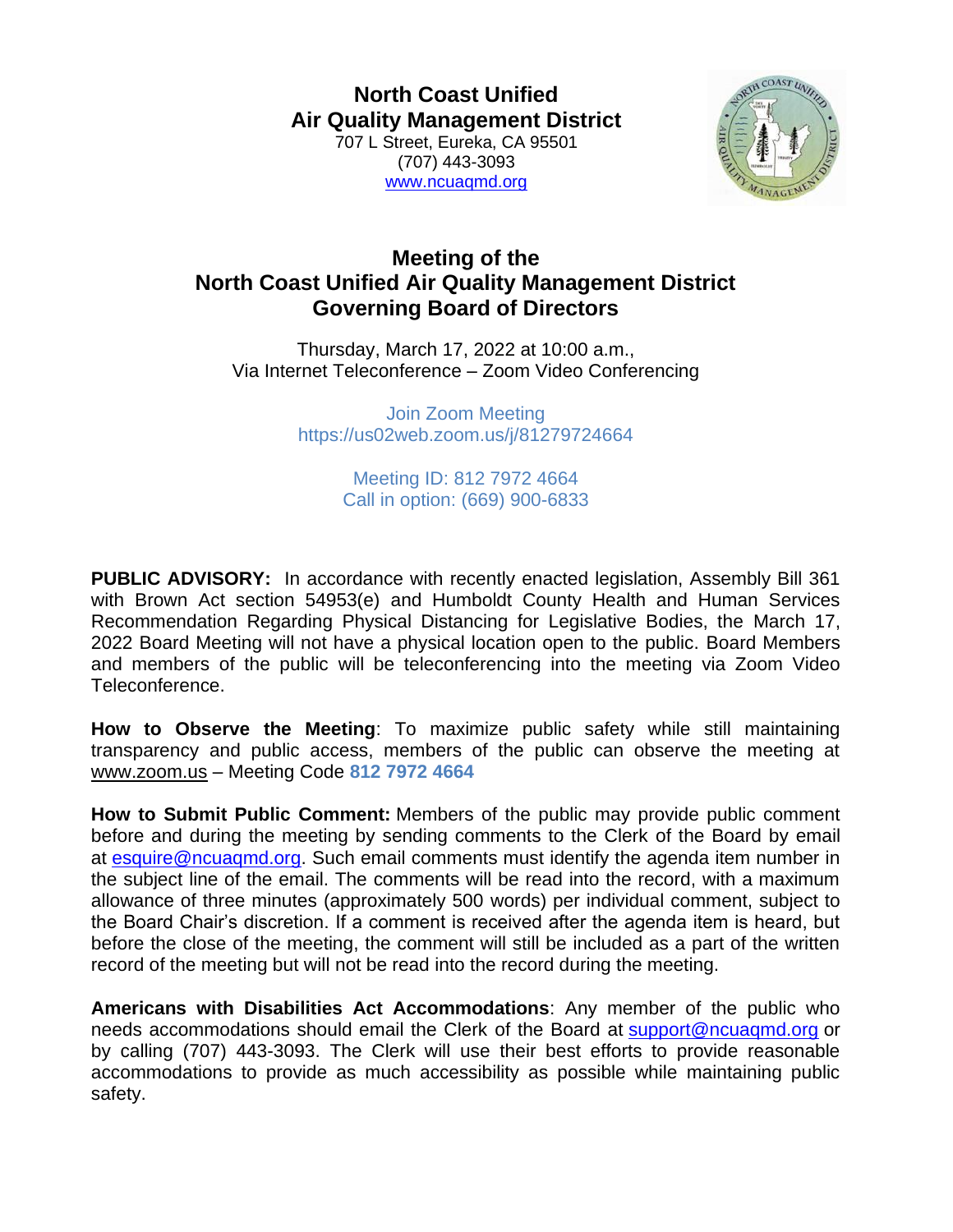**North Coast Unified Air Quality Management District** 707 L Street, Eureka, CA 95501 (707) 443-3093 [www.ncuaqmd.org](http://www.ncuaqmd.org/)



## **Meeting of the North Coast Unified Air Quality Management District Governing Board of Directors**

Thursday, March 17, 2022 at 10:00 a.m., Via Internet Teleconference – Zoom Video Conferencing

> Join Zoom Meeting https://us02web.zoom.us/j/81279724664

> > Meeting ID: 812 7972 4664 Call in option: (669) 900-6833

**PUBLIC ADVISORY:** In accordance with recently enacted legislation, Assembly Bill 361 with Brown Act section 54953(e) and Humboldt County Health and Human Services Recommendation Regarding Physical Distancing for Legislative Bodies, the March 17, 2022 Board Meeting will not have a physical location open to the public. Board Members and members of the public will be teleconferencing into the meeting via Zoom Video Teleconference.

**How to Observe the Meeting**: To maximize public safety while still maintaining transparency and public access, members of the public can observe the meeting at [www.zoom.us](http://www.zoom.us/) – Meeting Code **812 7972 4664**

**How to Submit Public Comment:** Members of the public may provide public comment before and during the meeting by sending comments to the Clerk of the Board by email at [esquire@ncuaqmd.org.](mailto:esquire@ncuaqmd.org) Such email comments must identify the agenda item number in the subject line of the email. The comments will be read into the record, with a maximum allowance of three minutes (approximately 500 words) per individual comment, subject to the Board Chair's discretion. If a comment is received after the agenda item is heard, but before the close of the meeting, the comment will still be included as a part of the written record of the meeting but will not be read into the record during the meeting.

**Americans with Disabilities Act Accommodations**: Any member of the public who needs accommodations should email the Clerk of the Board at [support@ncuaqmd.org](mailto:support@ncuaqmd.org) or by calling (707) 443-3093. The Clerk will use their best efforts to provide reasonable accommodations to provide as much accessibility as possible while maintaining public safety.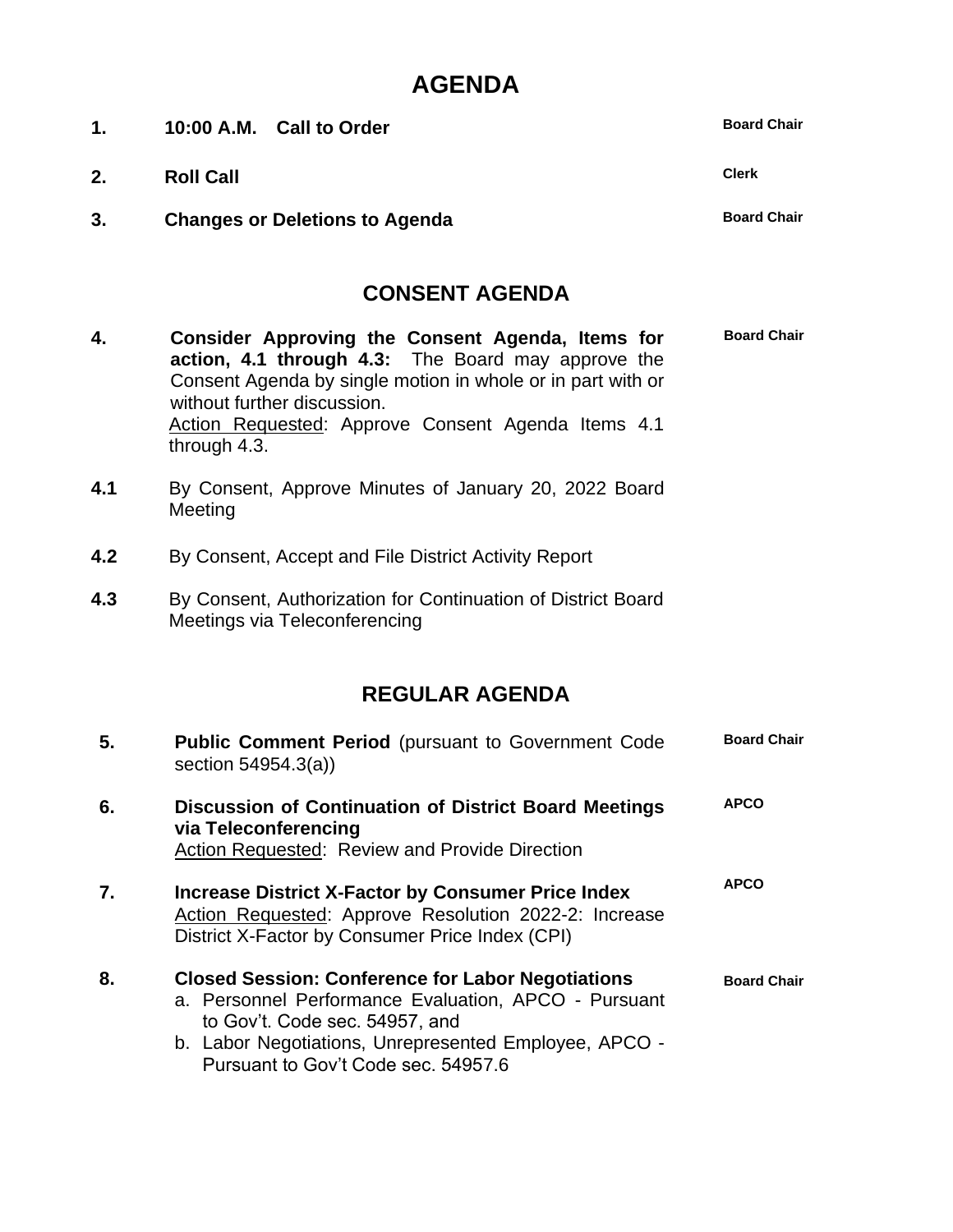## **AGENDA**

| 1.  | 10:00 A.M. Call to Order                                                                                                                                                                                                                                                   | <b>Board Chair</b> |
|-----|----------------------------------------------------------------------------------------------------------------------------------------------------------------------------------------------------------------------------------------------------------------------------|--------------------|
| 2.  | <b>Roll Call</b>                                                                                                                                                                                                                                                           | <b>Clerk</b>       |
| 3.  | <b>Changes or Deletions to Agenda</b>                                                                                                                                                                                                                                      | <b>Board Chair</b> |
|     | <b>CONSENT AGENDA</b>                                                                                                                                                                                                                                                      |                    |
| 4.  | Consider Approving the Consent Agenda, Items for<br>action, 4.1 through 4.3: The Board may approve the<br>Consent Agenda by single motion in whole or in part with or<br>without further discussion.<br>Action Requested: Approve Consent Agenda Items 4.1<br>through 4.3. | <b>Board Chair</b> |
| 4.1 | By Consent, Approve Minutes of January 20, 2022 Board<br>Meeting                                                                                                                                                                                                           |                    |
| 4.2 | By Consent, Accept and File District Activity Report                                                                                                                                                                                                                       |                    |
| 4.3 | By Consent, Authorization for Continuation of District Board<br>Meetings via Teleconferencing                                                                                                                                                                              |                    |
|     | <b>REGULAR AGENDA</b>                                                                                                                                                                                                                                                      |                    |
| 5.  | <b>Public Comment Period</b> (pursuant to Government Code<br>section 54954.3(a))                                                                                                                                                                                           | <b>Board Chair</b> |
| 6.  | Discussion of Continuation of District Board Meetings<br>via Teleconferencing<br>Action Requested: Review and Provide Direction                                                                                                                                            | <b>APCO</b>        |
| 7.  | <b>Increase District X-Factor by Consumer Price Index</b><br>Action Requested: Approve Resolution 2022-2: Increase<br>District X-Factor by Consumer Price Index (CPI)                                                                                                      | <b>APCO</b>        |
| 8.  | <b>Closed Session: Conference for Labor Negotiations</b><br>a. Personnel Performance Evaluation, APCO - Pursuant<br>to Gov't. Code sec. 54957, and<br>b. Labor Negotiations, Unrepresented Employee, APCO -<br>Pursuant to Gov't Code sec. 54957.6                         | <b>Board Chair</b> |